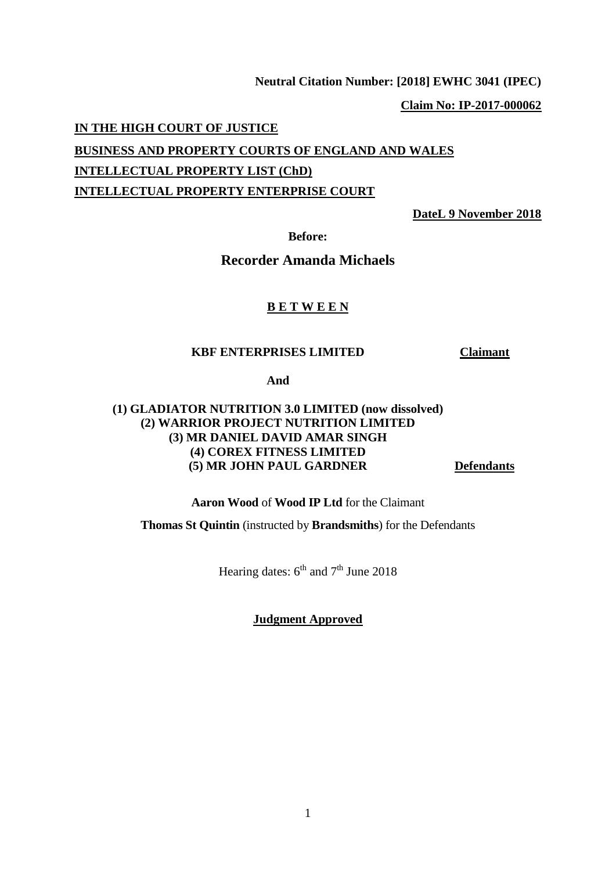#### **Neutral Citation Number: [2018] EWHC 3041 (IPEC)**

**Claim No: IP-2017-000062**

#### **IN THE HIGH COURT OF JUSTICE**

**BUSINESS AND PROPERTY COURTS OF ENGLAND AND WALES INTELLECTUAL PROPERTY LIST (ChD) INTELLECTUAL PROPERTY ENTERPRISE COURT**

**DateL 9 November 2018**

**Before:**

# **Recorder Amanda Michaels**

#### **B E T W E E N**

#### **KBF ENTERPRISES LIMITED Claimant**

**And**

# **(1) GLADIATOR NUTRITION 3.0 LIMITED (now dissolved) (2) WARRIOR PROJECT NUTRITION LIMITED (3) MR DANIEL DAVID AMAR SINGH (4) COREX FITNESS LIMITED (5) MR JOHN PAUL GARDNER Defendants**

**Aaron Wood** of **Wood IP Ltd** for the Claimant

**Thomas St Quintin** (instructed by **Brandsmiths**) for the Defendants

Hearing dates:  $6<sup>th</sup>$  and  $7<sup>th</sup>$  June 2018

**Judgment Approved**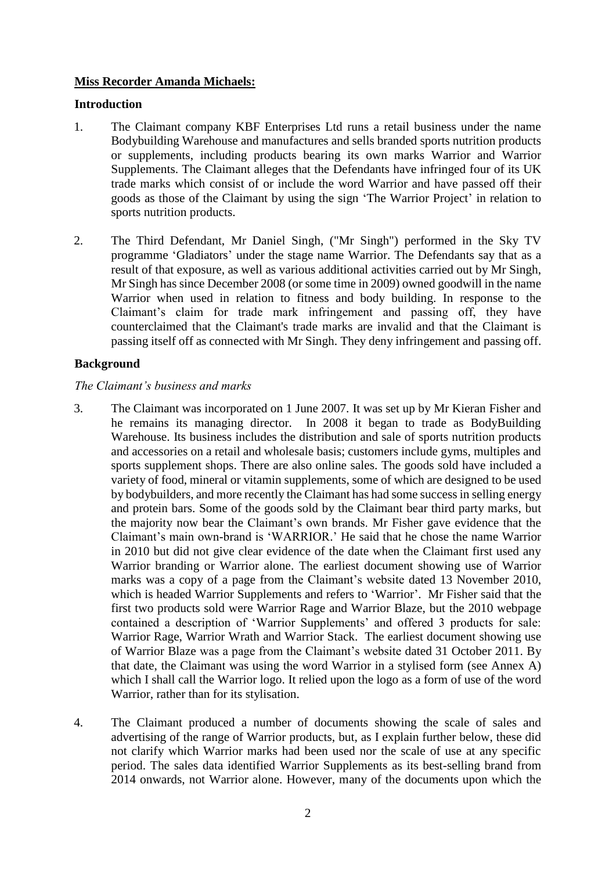# **Miss Recorder Amanda Michaels:**

## **Introduction**

- 1. The Claimant company KBF Enterprises Ltd runs a retail business under the name Bodybuilding Warehouse and manufactures and sells branded sports nutrition products or supplements, including products bearing its own marks Warrior and Warrior Supplements. The Claimant alleges that the Defendants have infringed four of its UK trade marks which consist of or include the word Warrior and have passed off their goods as those of the Claimant by using the sign 'The Warrior Project' in relation to sports nutrition products.
- 2. The Third Defendant, Mr Daniel Singh, ("Mr Singh") performed in the Sky TV programme 'Gladiators' under the stage name Warrior. The Defendants say that as a result of that exposure, as well as various additional activities carried out by Mr Singh, Mr Singh has since December 2008 (or some time in 2009) owned goodwill in the name Warrior when used in relation to fitness and body building. In response to the Claimant's claim for trade mark infringement and passing off, they have counterclaimed that the Claimant's trade marks are invalid and that the Claimant is passing itself off as connected with Mr Singh. They deny infringement and passing off.

# **Background**

## *The Claimant's business and marks*

- 3. The Claimant was incorporated on 1 June 2007. It was set up by Mr Kieran Fisher and he remains its managing director. In 2008 it began to trade as BodyBuilding Warehouse. Its business includes the distribution and sale of sports nutrition products and accessories on a retail and wholesale basis; customers include gyms, multiples and sports supplement shops. There are also online sales. The goods sold have included a variety of food, mineral or vitamin supplements, some of which are designed to be used by bodybuilders, and more recently the Claimant has had some success in selling energy and protein bars. Some of the goods sold by the Claimant bear third party marks, but the majority now bear the Claimant's own brands. Mr Fisher gave evidence that the Claimant's main own-brand is 'WARRIOR.' He said that he chose the name Warrior in 2010 but did not give clear evidence of the date when the Claimant first used any Warrior branding or Warrior alone. The earliest document showing use of Warrior marks was a copy of a page from the Claimant's website dated 13 November 2010, which is headed Warrior Supplements and refers to 'Warrior'. Mr Fisher said that the first two products sold were Warrior Rage and Warrior Blaze, but the 2010 webpage contained a description of 'Warrior Supplements' and offered 3 products for sale: Warrior Rage, Warrior Wrath and Warrior Stack. The earliest document showing use of Warrior Blaze was a page from the Claimant's website dated 31 October 2011. By that date, the Claimant was using the word Warrior in a stylised form (see Annex A) which I shall call the Warrior logo. It relied upon the logo as a form of use of the word Warrior, rather than for its stylisation.
- 4. The Claimant produced a number of documents showing the scale of sales and advertising of the range of Warrior products, but, as I explain further below, these did not clarify which Warrior marks had been used nor the scale of use at any specific period. The sales data identified Warrior Supplements as its best-selling brand from 2014 onwards, not Warrior alone. However, many of the documents upon which the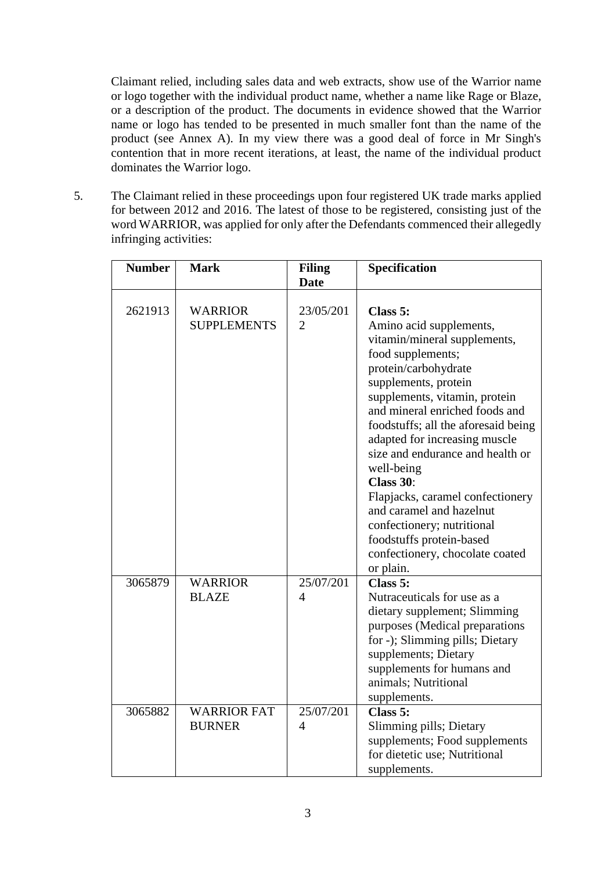Claimant relied, including sales data and web extracts, show use of the Warrior name or logo together with the individual product name, whether a name like Rage or Blaze, or a description of the product. The documents in evidence showed that the Warrior name or logo has tended to be presented in much smaller font than the name of the product (see Annex A). In my view there was a good deal of force in Mr Singh's contention that in more recent iterations, at least, the name of the individual product dominates the Warrior logo.

5. The Claimant relied in these proceedings upon four registered UK trade marks applied for between 2012 and 2016. The latest of those to be registered, consisting just of the word WARRIOR, was applied for only after the Defendants commenced their allegedly infringing activities:

| <b>Number</b> | <b>Mark</b>                          | <b>Filing</b><br><b>Date</b> | Specification                                                                                                                                                                                                                                                                                                                                                                                                                                                                                                                |
|---------------|--------------------------------------|------------------------------|------------------------------------------------------------------------------------------------------------------------------------------------------------------------------------------------------------------------------------------------------------------------------------------------------------------------------------------------------------------------------------------------------------------------------------------------------------------------------------------------------------------------------|
| 2621913       | <b>WARRIOR</b><br><b>SUPPLEMENTS</b> | 23/05/201<br>$\overline{2}$  | Class 5:<br>Amino acid supplements,<br>vitamin/mineral supplements,<br>food supplements;<br>protein/carbohydrate<br>supplements, protein<br>supplements, vitamin, protein<br>and mineral enriched foods and<br>foodstuffs; all the aforesaid being<br>adapted for increasing muscle<br>size and endurance and health or<br>well-being<br>Class 30:<br>Flapjacks, caramel confectionery<br>and caramel and hazelnut<br>confectionery; nutritional<br>foodstuffs protein-based<br>confectionery, chocolate coated<br>or plain. |
| 3065879       | <b>WARRIOR</b><br><b>BLAZE</b>       | 25/07/201<br>4               | Class 5:<br>Nutraceuticals for use as a<br>dietary supplement; Slimming<br>purposes (Medical preparations<br>for -); Slimming pills; Dietary<br>supplements; Dietary<br>supplements for humans and<br>animals; Nutritional<br>supplements.                                                                                                                                                                                                                                                                                   |
| 3065882       | <b>WARRIOR FAT</b><br><b>BURNER</b>  | 25/07/201<br>$\overline{4}$  | Class 5:<br>Slimming pills; Dietary<br>supplements; Food supplements<br>for dietetic use; Nutritional<br>supplements.                                                                                                                                                                                                                                                                                                                                                                                                        |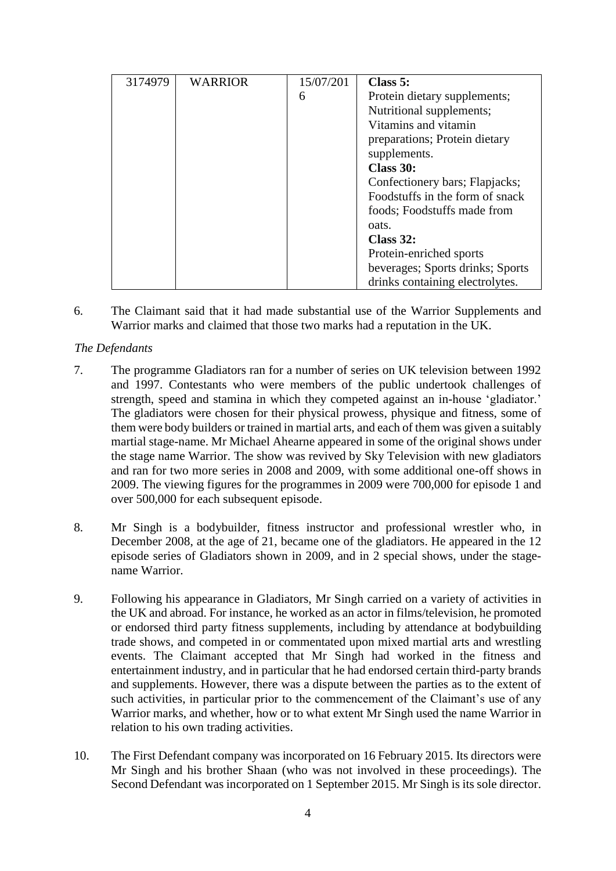| 3174979 | <b>WARRIOR</b> | 15/07/201 | Class 5:                         |
|---------|----------------|-----------|----------------------------------|
|         |                | 6         | Protein dietary supplements;     |
|         |                |           | Nutritional supplements;         |
|         |                |           | Vitamins and vitamin             |
|         |                |           | preparations; Protein dietary    |
|         |                |           | supplements.                     |
|         |                |           | Class 30:                        |
|         |                |           | Confectionery bars; Flapjacks;   |
|         |                |           | Foodstuffs in the form of snack  |
|         |                |           | foods; Foodstuffs made from      |
|         |                |           | oats.                            |
|         |                |           | Class $32:$                      |
|         |                |           | Protein-enriched sports          |
|         |                |           | beverages; Sports drinks; Sports |
|         |                |           | drinks containing electrolytes.  |

6. The Claimant said that it had made substantial use of the Warrior Supplements and Warrior marks and claimed that those two marks had a reputation in the UK.

# *The Defendants*

- 7. The programme Gladiators ran for a number of series on UK television between 1992 and 1997. Contestants who were members of the public undertook challenges of strength, speed and stamina in which they competed against an in-house 'gladiator.' The gladiators were chosen for their physical prowess, physique and fitness, some of them were body builders or trained in martial arts, and each of them was given a suitably martial stage-name. Mr Michael Ahearne appeared in some of the original shows under the stage name Warrior. The show was revived by Sky Television with new gladiators and ran for two more series in 2008 and 2009, with some additional one-off shows in 2009. The viewing figures for the programmes in 2009 were 700,000 for episode 1 and over 500,000 for each subsequent episode.
- 8. Mr Singh is a bodybuilder, fitness instructor and professional wrestler who, in December 2008, at the age of 21, became one of the gladiators. He appeared in the 12 episode series of Gladiators shown in 2009, and in 2 special shows, under the stagename Warrior.
- 9. Following his appearance in Gladiators, Mr Singh carried on a variety of activities in the UK and abroad. For instance, he worked as an actor in films/television, he promoted or endorsed third party fitness supplements, including by attendance at bodybuilding trade shows, and competed in or commentated upon mixed martial arts and wrestling events. The Claimant accepted that Mr Singh had worked in the fitness and entertainment industry, and in particular that he had endorsed certain third-party brands and supplements. However, there was a dispute between the parties as to the extent of such activities, in particular prior to the commencement of the Claimant's use of any Warrior marks, and whether, how or to what extent Mr Singh used the name Warrior in relation to his own trading activities.
- 10. The First Defendant company was incorporated on 16 February 2015. Its directors were Mr Singh and his brother Shaan (who was not involved in these proceedings). The Second Defendant was incorporated on 1 September 2015. Mr Singh is its sole director.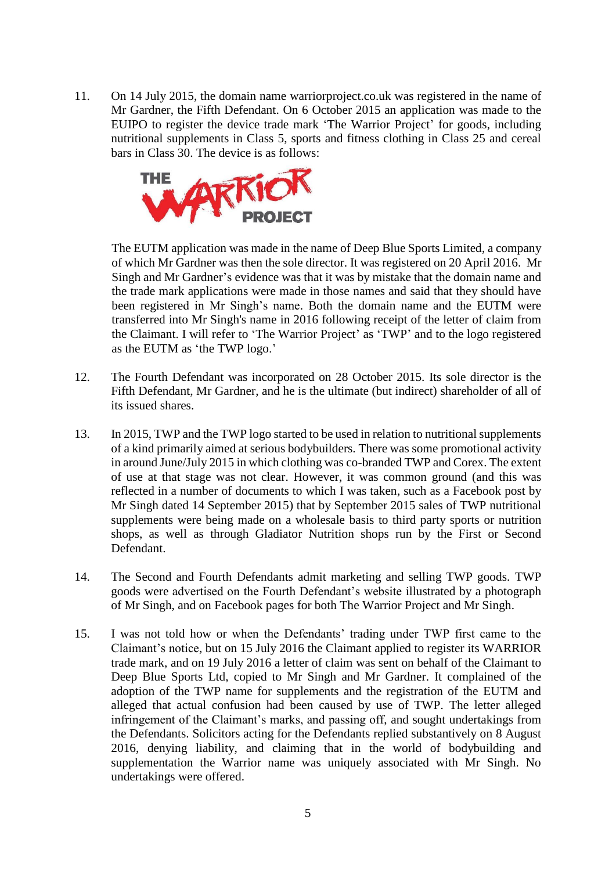11. On 14 July 2015, the domain name warriorproject.co.uk was registered in the name of Mr Gardner, the Fifth Defendant. On 6 October 2015 an application was made to the EUIPO to register the device trade mark 'The Warrior Project' for goods, including nutritional supplements in Class 5, sports and fitness clothing in Class 25 and cereal bars in Class 30. The device is as follows:



The EUTM application was made in the name of Deep Blue Sports Limited, a company of which Mr Gardner was then the sole director. It was registered on 20 April 2016. Mr Singh and Mr Gardner's evidence was that it was by mistake that the domain name and the trade mark applications were made in those names and said that they should have been registered in Mr Singh's name. Both the domain name and the EUTM were transferred into Mr Singh's name in 2016 following receipt of the letter of claim from the Claimant. I will refer to 'The Warrior Project' as 'TWP' and to the logo registered as the EUTM as 'the TWP logo.'

- 12. The Fourth Defendant was incorporated on 28 October 2015. Its sole director is the Fifth Defendant, Mr Gardner, and he is the ultimate (but indirect) shareholder of all of its issued shares.
- 13. In 2015, TWP and the TWP logo started to be used in relation to nutritional supplements of a kind primarily aimed at serious bodybuilders. There was some promotional activity in around June/July 2015 in which clothing was co-branded TWP and Corex. The extent of use at that stage was not clear. However, it was common ground (and this was reflected in a number of documents to which I was taken, such as a Facebook post by Mr Singh dated 14 September 2015) that by September 2015 sales of TWP nutritional supplements were being made on a wholesale basis to third party sports or nutrition shops, as well as through Gladiator Nutrition shops run by the First or Second Defendant.
- 14. The Second and Fourth Defendants admit marketing and selling TWP goods. TWP goods were advertised on the Fourth Defendant's website illustrated by a photograph of Mr Singh, and on Facebook pages for both The Warrior Project and Mr Singh.
- 15. I was not told how or when the Defendants' trading under TWP first came to the Claimant's notice, but on 15 July 2016 the Claimant applied to register its WARRIOR trade mark, and on 19 July 2016 a letter of claim was sent on behalf of the Claimant to Deep Blue Sports Ltd, copied to Mr Singh and Mr Gardner. It complained of the adoption of the TWP name for supplements and the registration of the EUTM and alleged that actual confusion had been caused by use of TWP. The letter alleged infringement of the Claimant's marks, and passing off, and sought undertakings from the Defendants. Solicitors acting for the Defendants replied substantively on 8 August 2016, denying liability, and claiming that in the world of bodybuilding and supplementation the Warrior name was uniquely associated with Mr Singh. No undertakings were offered.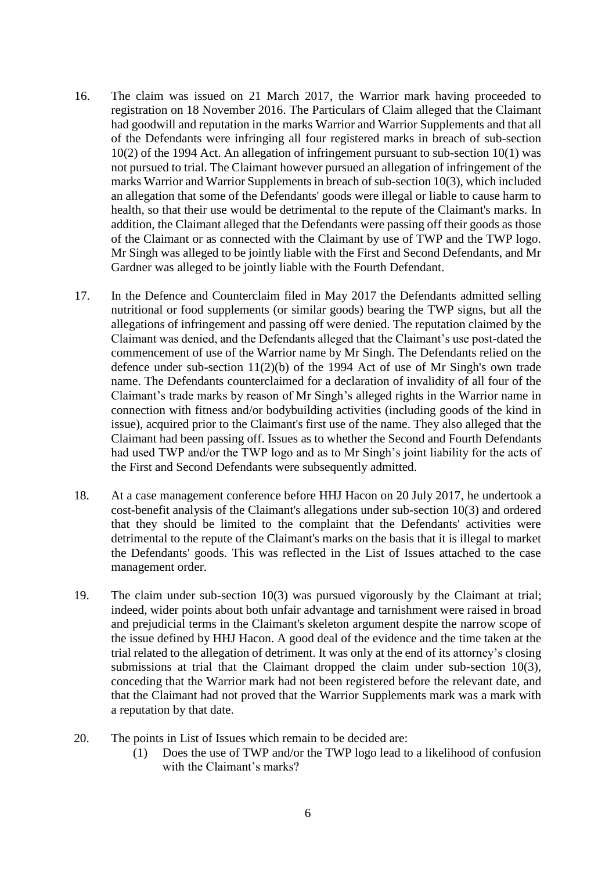- 16. The claim was issued on 21 March 2017, the Warrior mark having proceeded to registration on 18 November 2016. The Particulars of Claim alleged that the Claimant had goodwill and reputation in the marks Warrior and Warrior Supplements and that all of the Defendants were infringing all four registered marks in breach of sub-section 10(2) of the 1994 Act. An allegation of infringement pursuant to sub-section 10(1) was not pursued to trial. The Claimant however pursued an allegation of infringement of the marks Warrior and Warrior Supplements in breach of sub-section  $10(3)$ , which included an allegation that some of the Defendants' goods were illegal or liable to cause harm to health, so that their use would be detrimental to the repute of the Claimant's marks. In addition, the Claimant alleged that the Defendants were passing off their goods as those of the Claimant or as connected with the Claimant by use of TWP and the TWP logo. Mr Singh was alleged to be jointly liable with the First and Second Defendants, and Mr Gardner was alleged to be jointly liable with the Fourth Defendant.
- 17. In the Defence and Counterclaim filed in May 2017 the Defendants admitted selling nutritional or food supplements (or similar goods) bearing the TWP signs, but all the allegations of infringement and passing off were denied. The reputation claimed by the Claimant was denied, and the Defendants alleged that the Claimant's use post-dated the commencement of use of the Warrior name by Mr Singh. The Defendants relied on the defence under sub-section 11(2)(b) of the 1994 Act of use of Mr Singh's own trade name. The Defendants counterclaimed for a declaration of invalidity of all four of the Claimant's trade marks by reason of Mr Singh's alleged rights in the Warrior name in connection with fitness and/or bodybuilding activities (including goods of the kind in issue), acquired prior to the Claimant's first use of the name. They also alleged that the Claimant had been passing off. Issues as to whether the Second and Fourth Defendants had used TWP and/or the TWP logo and as to Mr Singh's joint liability for the acts of the First and Second Defendants were subsequently admitted.
- 18. At a case management conference before HHJ Hacon on 20 July 2017, he undertook a cost-benefit analysis of the Claimant's allegations under sub-section 10(3) and ordered that they should be limited to the complaint that the Defendants' activities were detrimental to the repute of the Claimant's marks on the basis that it is illegal to market the Defendants' goods. This was reflected in the List of Issues attached to the case management order.
- 19. The claim under sub-section 10(3) was pursued vigorously by the Claimant at trial; indeed, wider points about both unfair advantage and tarnishment were raised in broad and prejudicial terms in the Claimant's skeleton argument despite the narrow scope of the issue defined by HHJ Hacon. A good deal of the evidence and the time taken at the trial related to the allegation of detriment. It was only at the end of its attorney's closing submissions at trial that the Claimant dropped the claim under sub-section 10(3), conceding that the Warrior mark had not been registered before the relevant date, and that the Claimant had not proved that the Warrior Supplements mark was a mark with a reputation by that date.
- 20. The points in List of Issues which remain to be decided are:
	- (1) Does the use of TWP and/or the TWP logo lead to a likelihood of confusion with the Claimant's marks?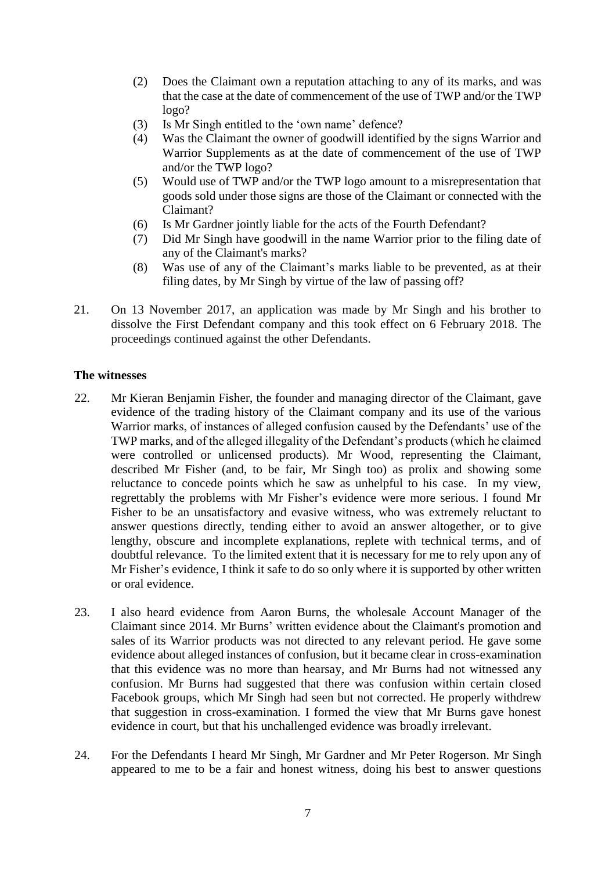- (2) Does the Claimant own a reputation attaching to any of its marks, and was that the case at the date of commencement of the use of TWP and/or the TWP logo?
- (3) Is Mr Singh entitled to the 'own name' defence?
- (4) Was the Claimant the owner of goodwill identified by the signs Warrior and Warrior Supplements as at the date of commencement of the use of TWP and/or the TWP logo?
- (5) Would use of TWP and/or the TWP logo amount to a misrepresentation that goods sold under those signs are those of the Claimant or connected with the Claimant?
- (6) Is Mr Gardner jointly liable for the acts of the Fourth Defendant?
- (7) Did Mr Singh have goodwill in the name Warrior prior to the filing date of any of the Claimant's marks?
- (8) Was use of any of the Claimant's marks liable to be prevented, as at their filing dates, by Mr Singh by virtue of the law of passing off?
- 21. On 13 November 2017, an application was made by Mr Singh and his brother to dissolve the First Defendant company and this took effect on 6 February 2018. The proceedings continued against the other Defendants.

## **The witnesses**

- 22. Mr Kieran Benjamin Fisher, the founder and managing director of the Claimant, gave evidence of the trading history of the Claimant company and its use of the various Warrior marks, of instances of alleged confusion caused by the Defendants' use of the TWP marks, and of the alleged illegality of the Defendant's products (which he claimed were controlled or unlicensed products). Mr Wood, representing the Claimant, described Mr Fisher (and, to be fair, Mr Singh too) as prolix and showing some reluctance to concede points which he saw as unhelpful to his case. In my view, regrettably the problems with Mr Fisher's evidence were more serious. I found Mr Fisher to be an unsatisfactory and evasive witness, who was extremely reluctant to answer questions directly, tending either to avoid an answer altogether, or to give lengthy, obscure and incomplete explanations, replete with technical terms, and of doubtful relevance. To the limited extent that it is necessary for me to rely upon any of Mr Fisher's evidence, I think it safe to do so only where it is supported by other written or oral evidence.
- 23. I also heard evidence from Aaron Burns, the wholesale Account Manager of the Claimant since 2014. Mr Burns' written evidence about the Claimant's promotion and sales of its Warrior products was not directed to any relevant period. He gave some evidence about alleged instances of confusion, but it became clear in cross-examination that this evidence was no more than hearsay, and Mr Burns had not witnessed any confusion. Mr Burns had suggested that there was confusion within certain closed Facebook groups, which Mr Singh had seen but not corrected. He properly withdrew that suggestion in cross-examination. I formed the view that Mr Burns gave honest evidence in court, but that his unchallenged evidence was broadly irrelevant.
- 24. For the Defendants I heard Mr Singh, Mr Gardner and Mr Peter Rogerson. Mr Singh appeared to me to be a fair and honest witness, doing his best to answer questions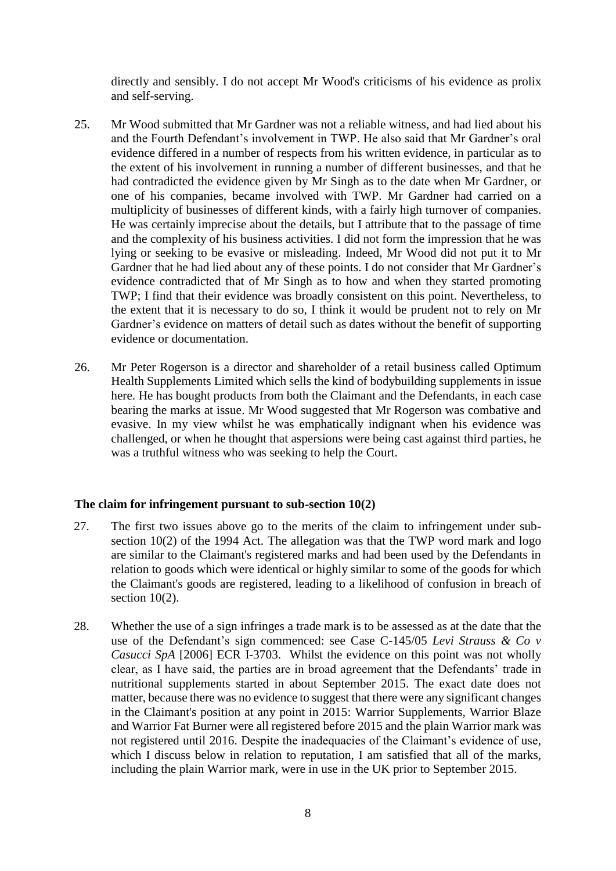directly and sensibly. I do not accept Mr Wood's criticisms of his evidence as prolix and self-serving.

- 25. Mr Wood submitted that Mr Gardner was not a reliable witness, and had lied about his and the Fourth Defendant's involvement in TWP. He also said that Mr Gardner's oral evidence differed in a number of respects from his written evidence, in particular as to the extent of his involvement in running a number of different businesses, and that he had contradicted the evidence given by Mr Singh as to the date when Mr Gardner, or one of his companies, became involved with TWP. Mr Gardner had carried on a multiplicity of businesses of different kinds, with a fairly high turnover of companies. He was certainly imprecise about the details, but I attribute that to the passage of time and the complexity of his business activities. I did not form the impression that he was lying or seeking to be evasive or misleading. Indeed, Mr Wood did not put it to Mr Gardner that he had lied about any of these points. I do not consider that Mr Gardner's evidence contradicted that of Mr Singh as to how and when they started promoting TWP; I find that their evidence was broadly consistent on this point. Nevertheless, to the extent that it is necessary to do so, I think it would be prudent not to rely on Mr Gardner's evidence on matters of detail such as dates without the benefit of supporting evidence or documentation.
- 26. Mr Peter Rogerson is a director and shareholder of a retail business called Optimum Health Supplements Limited which sells the kind of bodybuilding supplements in issue here. He has bought products from both the Claimant and the Defendants, in each case bearing the marks at issue. Mr Wood suggested that Mr Rogerson was combative and evasive. In my view whilst he was emphatically indignant when his evidence was challenged, or when he thought that aspersions were being cast against third parties, he was a truthful witness who was seeking to help the Court.

## **The claim for infringement pursuant to sub-section 10(2)**

- 27. The first two issues above go to the merits of the claim to infringement under subsection 10(2) of the 1994 Act. The allegation was that the TWP word mark and logo are similar to the Claimant's registered marks and had been used by the Defendants in relation to goods which were identical or highly similar to some of the goods for which the Claimant's goods are registered, leading to a likelihood of confusion in breach of section  $10(2)$ .
- 28. Whether the use of a sign infringes a trade mark is to be assessed as at the date that the use of the Defendant's sign commenced: see Case C-145/05 *Levi Strauss & Co v Casucci SpA* [2006] ECR I-3703. Whilst the evidence on this point was not wholly clear, as I have said, the parties are in broad agreement that the Defendants' trade in nutritional supplements started in about September 2015. The exact date does not matter, because there was no evidence to suggest that there were any significant changes in the Claimant's position at any point in 2015: Warrior Supplements, Warrior Blaze and Warrior Fat Burner were all registered before 2015 and the plain Warrior mark was not registered until 2016. Despite the inadequacies of the Claimant's evidence of use, which I discuss below in relation to reputation, I am satisfied that all of the marks, including the plain Warrior mark, were in use in the UK prior to September 2015.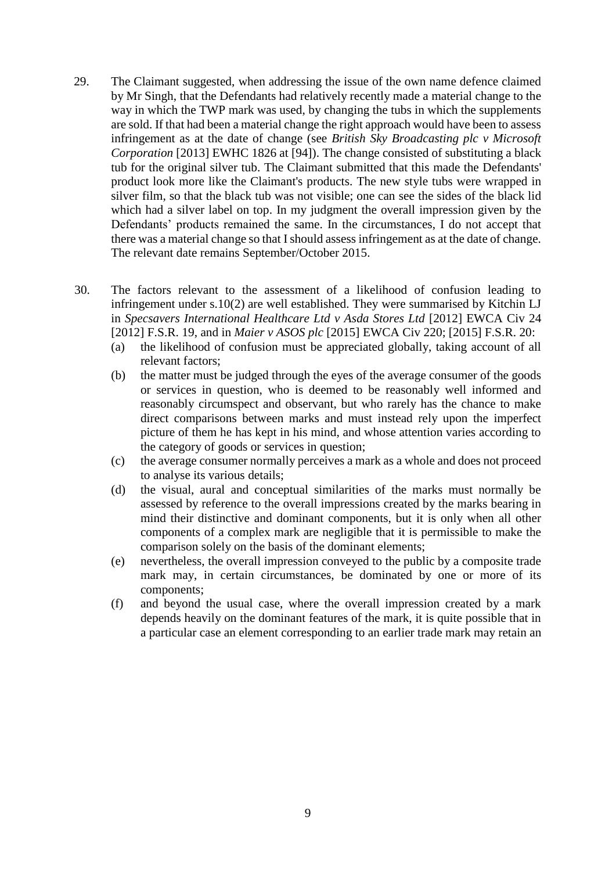- 29. The Claimant suggested, when addressing the issue of the own name defence claimed by Mr Singh, that the Defendants had relatively recently made a material change to the way in which the TWP mark was used, by changing the tubs in which the supplements are sold. If that had been a material change the right approach would have been to assess infringement as at the date of change (see *British Sky Broadcasting plc v Microsoft Corporation* [2013] EWHC 1826 at [94]). The change consisted of substituting a black tub for the original silver tub. The Claimant submitted that this made the Defendants' product look more like the Claimant's products. The new style tubs were wrapped in silver film, so that the black tub was not visible; one can see the sides of the black lid which had a silver label on top. In my judgment the overall impression given by the Defendants' products remained the same. In the circumstances, I do not accept that there was a material change so that I should assess infringement as at the date of change. The relevant date remains September/October 2015.
- 30. The factors relevant to the assessment of a likelihood of confusion leading to infringement under s.10(2) are well established. They were summarised by Kitchin LJ in *Specsavers International Healthcare Ltd v Asda Stores Ltd* [2012] EWCA Civ 24 [2012] F.S.R. 19, and in *Maier v ASOS plc* [2015] EWCA Civ 220; [2015] F.S.R. 20:
	- (a) the likelihood of confusion must be appreciated globally, taking account of all relevant factors;
	- (b) the matter must be judged through the eyes of the average consumer of the goods or services in question, who is deemed to be reasonably well informed and reasonably circumspect and observant, but who rarely has the chance to make direct comparisons between marks and must instead rely upon the imperfect picture of them he has kept in his mind, and whose attention varies according to the category of goods or services in question;
	- (c) the average consumer normally perceives a mark as a whole and does not proceed to analyse its various details;
	- (d) the visual, aural and conceptual similarities of the marks must normally be assessed by reference to the overall impressions created by the marks bearing in mind their distinctive and dominant components, but it is only when all other components of a complex mark are negligible that it is permissible to make the comparison solely on the basis of the dominant elements;
	- (e) nevertheless, the overall impression conveyed to the public by a composite trade mark may, in certain circumstances, be dominated by one or more of its components;
	- (f) and beyond the usual case, where the overall impression created by a mark depends heavily on the dominant features of the mark, it is quite possible that in a particular case an element corresponding to an earlier trade mark may retain an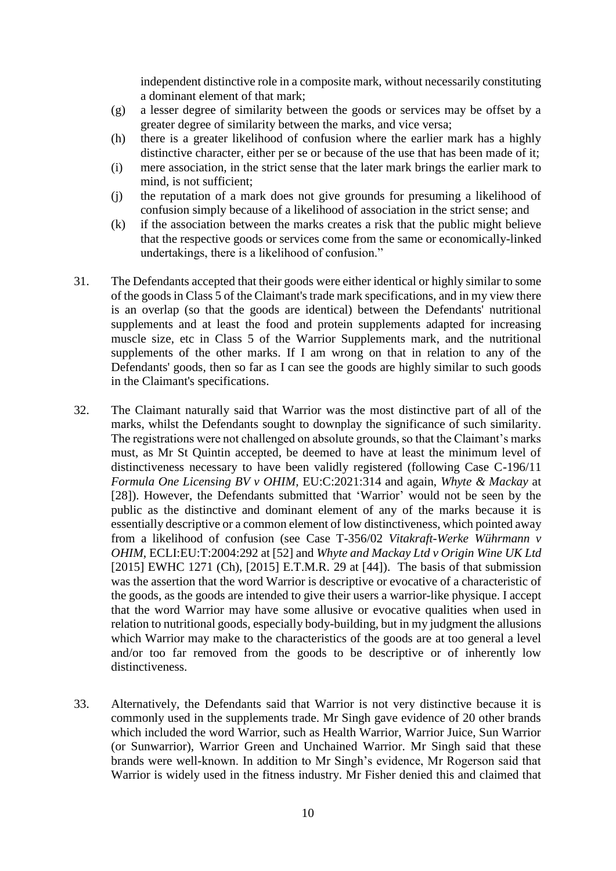independent distinctive role in a composite mark, without necessarily constituting a dominant element of that mark;

- (g) a lesser degree of similarity between the goods or services may be offset by a greater degree of similarity between the marks, and vice versa;
- (h) there is a greater likelihood of confusion where the earlier mark has a highly distinctive character, either per se or because of the use that has been made of it;
- (i) mere association, in the strict sense that the later mark brings the earlier mark to mind, is not sufficient;
- (j) the reputation of a mark does not give grounds for presuming a likelihood of confusion simply because of a likelihood of association in the strict sense; and
- (k) if the association between the marks creates a risk that the public might believe that the respective goods or services come from the same or economically-linked undertakings, there is a likelihood of confusion."
- 31. The Defendants accepted that their goods were either identical or highly similar to some of the goods in Class 5 of the Claimant's trade mark specifications, and in my view there is an overlap (so that the goods are identical) between the Defendants' nutritional supplements and at least the food and protein supplements adapted for increasing muscle size, etc in Class 5 of the Warrior Supplements mark, and the nutritional supplements of the other marks. If I am wrong on that in relation to any of the Defendants' goods, then so far as I can see the goods are highly similar to such goods in the Claimant's specifications.
- 32. The Claimant naturally said that Warrior was the most distinctive part of all of the marks, whilst the Defendants sought to downplay the significance of such similarity. The registrations were not challenged on absolute grounds, so that the Claimant's marks must, as Mr St Quintin accepted, be deemed to have at least the minimum level of distinctiveness necessary to have been validly registered (following Case C-196/11 *Formula One Licensing BV v OHIM,* EU:C:2021:314 and again, *Whyte & Mackay* at [28]). However, the Defendants submitted that 'Warrior' would not be seen by the public as the distinctive and dominant element of any of the marks because it is essentially descriptive or a common element of low distinctiveness, which pointed away from a likelihood of confusion (see Case T-356/02 *Vitakraft-Werke Wührmann v OHIM*, ECLI:EU:T:2004:292 at [52] and *Whyte and Mackay Ltd v Origin Wine UK Ltd*  [2015] EWHC 1271 (Ch), [2015] E.T.M.R. 29 at [44]). The basis of that submission was the assertion that the word Warrior is descriptive or evocative of a characteristic of the goods, as the goods are intended to give their users a warrior-like physique. I accept that the word Warrior may have some allusive or evocative qualities when used in relation to nutritional goods, especially body-building, but in my judgment the allusions which Warrior may make to the characteristics of the goods are at too general a level and/or too far removed from the goods to be descriptive or of inherently low distinctiveness.
- 33. Alternatively, the Defendants said that Warrior is not very distinctive because it is commonly used in the supplements trade. Mr Singh gave evidence of 20 other brands which included the word Warrior, such as Health Warrior, Warrior Juice, Sun Warrior (or Sunwarrior), Warrior Green and Unchained Warrior. Mr Singh said that these brands were well-known. In addition to Mr Singh's evidence, Mr Rogerson said that Warrior is widely used in the fitness industry. Mr Fisher denied this and claimed that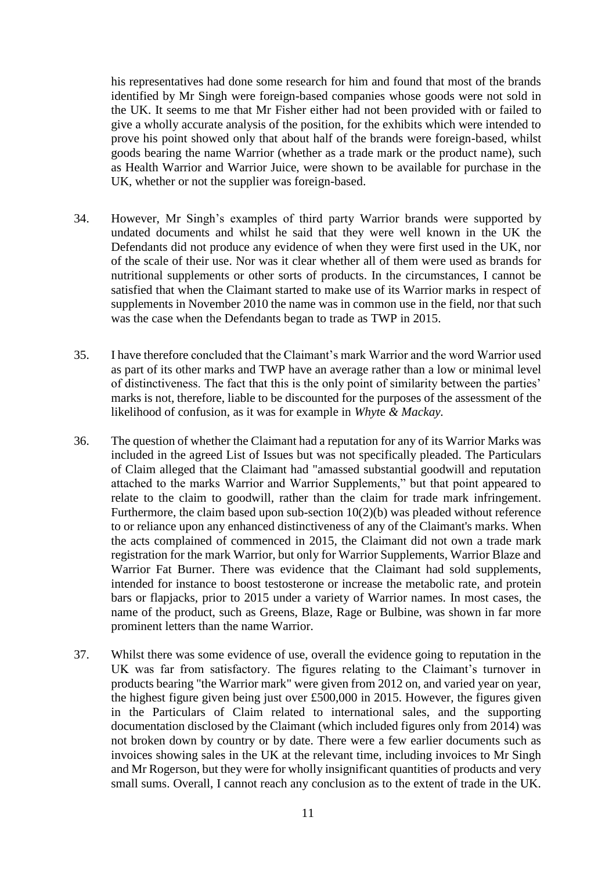his representatives had done some research for him and found that most of the brands identified by Mr Singh were foreign-based companies whose goods were not sold in the UK. It seems to me that Mr Fisher either had not been provided with or failed to give a wholly accurate analysis of the position, for the exhibits which were intended to prove his point showed only that about half of the brands were foreign-based, whilst goods bearing the name Warrior (whether as a trade mark or the product name), such as Health Warrior and Warrior Juice, were shown to be available for purchase in the UK, whether or not the supplier was foreign-based.

- 34. However, Mr Singh's examples of third party Warrior brands were supported by undated documents and whilst he said that they were well known in the UK the Defendants did not produce any evidence of when they were first used in the UK, nor of the scale of their use. Nor was it clear whether all of them were used as brands for nutritional supplements or other sorts of products. In the circumstances, I cannot be satisfied that when the Claimant started to make use of its Warrior marks in respect of supplements in November 2010 the name was in common use in the field, nor that such was the case when the Defendants began to trade as TWP in 2015.
- 35. I have therefore concluded that the Claimant's mark Warrior and the word Warrior used as part of its other marks and TWP have an average rather than a low or minimal level of distinctiveness. The fact that this is the only point of similarity between the parties' marks is not, therefore, liable to be discounted for the purposes of the assessment of the likelihood of confusion, as it was for example in *Whyt*e *& Mackay.*
- 36. The question of whether the Claimant had a reputation for any of its Warrior Marks was included in the agreed List of Issues but was not specifically pleaded. The Particulars of Claim alleged that the Claimant had "amassed substantial goodwill and reputation attached to the marks Warrior and Warrior Supplements," but that point appeared to relate to the claim to goodwill, rather than the claim for trade mark infringement. Furthermore, the claim based upon sub-section 10(2)(b) was pleaded without reference to or reliance upon any enhanced distinctiveness of any of the Claimant's marks. When the acts complained of commenced in 2015, the Claimant did not own a trade mark registration for the mark Warrior, but only for Warrior Supplements, Warrior Blaze and Warrior Fat Burner. There was evidence that the Claimant had sold supplements, intended for instance to boost testosterone or increase the metabolic rate, and protein bars or flapjacks, prior to 2015 under a variety of Warrior names. In most cases, the name of the product, such as Greens, Blaze, Rage or Bulbine, was shown in far more prominent letters than the name Warrior.
- 37. Whilst there was some evidence of use, overall the evidence going to reputation in the UK was far from satisfactory. The figures relating to the Claimant's turnover in products bearing "the Warrior mark" were given from 2012 on, and varied year on year, the highest figure given being just over £500,000 in 2015. However, the figures given in the Particulars of Claim related to international sales, and the supporting documentation disclosed by the Claimant (which included figures only from 2014) was not broken down by country or by date. There were a few earlier documents such as invoices showing sales in the UK at the relevant time, including invoices to Mr Singh and Mr Rogerson, but they were for wholly insignificant quantities of products and very small sums. Overall, I cannot reach any conclusion as to the extent of trade in the UK.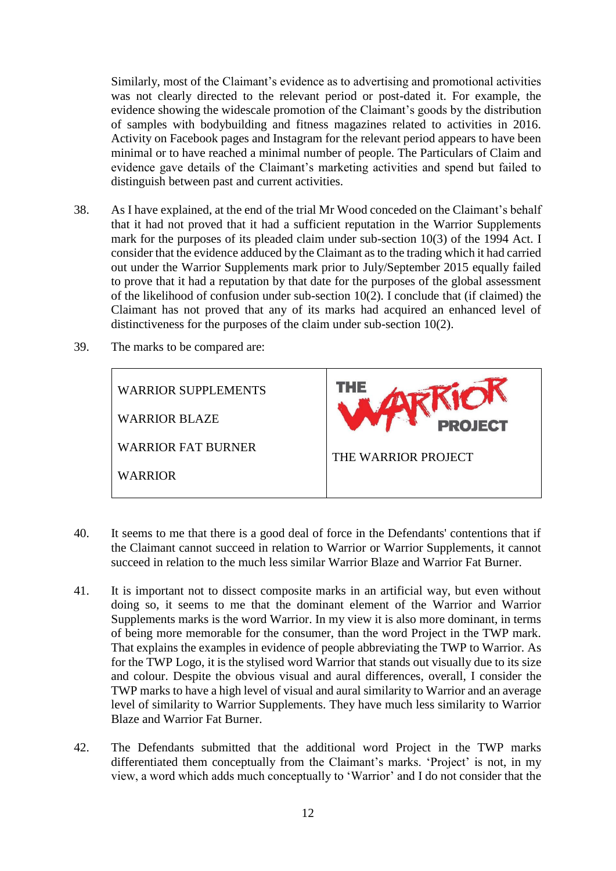Similarly, most of the Claimant's evidence as to advertising and promotional activities was not clearly directed to the relevant period or post-dated it. For example, the evidence showing the widescale promotion of the Claimant's goods by the distribution of samples with bodybuilding and fitness magazines related to activities in 2016. Activity on Facebook pages and Instagram for the relevant period appears to have been minimal or to have reached a minimal number of people. The Particulars of Claim and evidence gave details of the Claimant's marketing activities and spend but failed to distinguish between past and current activities.

- 38. As I have explained, at the end of the trial Mr Wood conceded on the Claimant's behalf that it had not proved that it had a sufficient reputation in the Warrior Supplements mark for the purposes of its pleaded claim under sub-section 10(3) of the 1994 Act. I consider that the evidence adduced by the Claimant as to the trading which it had carried out under the Warrior Supplements mark prior to July/September 2015 equally failed to prove that it had a reputation by that date for the purposes of the global assessment of the likelihood of confusion under sub-section 10(2). I conclude that (if claimed) the Claimant has not proved that any of its marks had acquired an enhanced level of distinctiveness for the purposes of the claim under sub-section 10(2).
- 39. The marks to be compared are:



- 40. It seems to me that there is a good deal of force in the Defendants' contentions that if the Claimant cannot succeed in relation to Warrior or Warrior Supplements, it cannot succeed in relation to the much less similar Warrior Blaze and Warrior Fat Burner.
- 41. It is important not to dissect composite marks in an artificial way, but even without doing so, it seems to me that the dominant element of the Warrior and Warrior Supplements marks is the word Warrior. In my view it is also more dominant, in terms of being more memorable for the consumer, than the word Project in the TWP mark. That explains the examples in evidence of people abbreviating the TWP to Warrior. As for the TWP Logo, it is the stylised word Warrior that stands out visually due to its size and colour. Despite the obvious visual and aural differences, overall, I consider the TWP marks to have a high level of visual and aural similarity to Warrior and an average level of similarity to Warrior Supplements. They have much less similarity to Warrior Blaze and Warrior Fat Burner.
- 42. The Defendants submitted that the additional word Project in the TWP marks differentiated them conceptually from the Claimant's marks. 'Project' is not, in my view, a word which adds much conceptually to 'Warrior' and I do not consider that the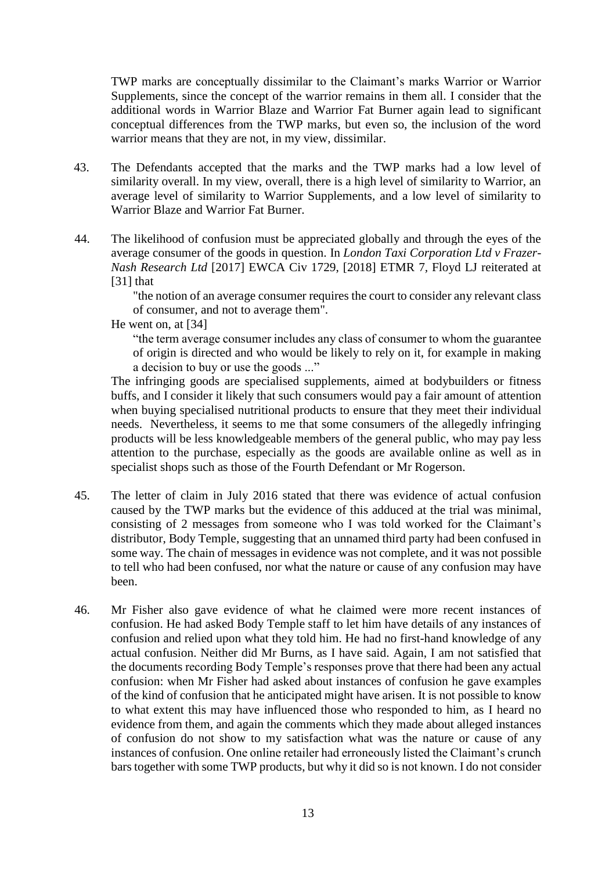TWP marks are conceptually dissimilar to the Claimant's marks Warrior or Warrior Supplements, since the concept of the warrior remains in them all. I consider that the additional words in Warrior Blaze and Warrior Fat Burner again lead to significant conceptual differences from the TWP marks, but even so, the inclusion of the word warrior means that they are not, in my view, dissimilar.

- 43. The Defendants accepted that the marks and the TWP marks had a low level of similarity overall. In my view, overall, there is a high level of similarity to Warrior, an average level of similarity to Warrior Supplements, and a low level of similarity to Warrior Blaze and Warrior Fat Burner.
- 44. The likelihood of confusion must be appreciated globally and through the eyes of the average consumer of the goods in question. In *London Taxi Corporation Ltd v Frazer-Nash Research Ltd* [2017] EWCA Civ 1729, [2018] ETMR 7*,* Floyd LJ reiterated at [31] that

"the notion of an average consumer requires the court to consider any relevant class of consumer, and not to average them".

He went on, at [34]

"the term average consumer includes any class of consumer to whom the guarantee of origin is directed and who would be likely to rely on it, for example in making a decision to buy or use the goods ..."

The infringing goods are specialised supplements, aimed at bodybuilders or fitness buffs, and I consider it likely that such consumers would pay a fair amount of attention when buying specialised nutritional products to ensure that they meet their individual needs. Nevertheless, it seems to me that some consumers of the allegedly infringing products will be less knowledgeable members of the general public, who may pay less attention to the purchase, especially as the goods are available online as well as in specialist shops such as those of the Fourth Defendant or Mr Rogerson.

- 45. The letter of claim in July 2016 stated that there was evidence of actual confusion caused by the TWP marks but the evidence of this adduced at the trial was minimal, consisting of 2 messages from someone who I was told worked for the Claimant's distributor, Body Temple, suggesting that an unnamed third party had been confused in some way. The chain of messages in evidence was not complete, and it was not possible to tell who had been confused, nor what the nature or cause of any confusion may have been.
- 46. Mr Fisher also gave evidence of what he claimed were more recent instances of confusion. He had asked Body Temple staff to let him have details of any instances of confusion and relied upon what they told him. He had no first-hand knowledge of any actual confusion. Neither did Mr Burns, as I have said. Again, I am not satisfied that the documents recording Body Temple's responses prove that there had been any actual confusion: when Mr Fisher had asked about instances of confusion he gave examples of the kind of confusion that he anticipated might have arisen. It is not possible to know to what extent this may have influenced those who responded to him, as I heard no evidence from them, and again the comments which they made about alleged instances of confusion do not show to my satisfaction what was the nature or cause of any instances of confusion. One online retailer had erroneously listed the Claimant's crunch bars together with some TWP products, but why it did so is not known. I do not consider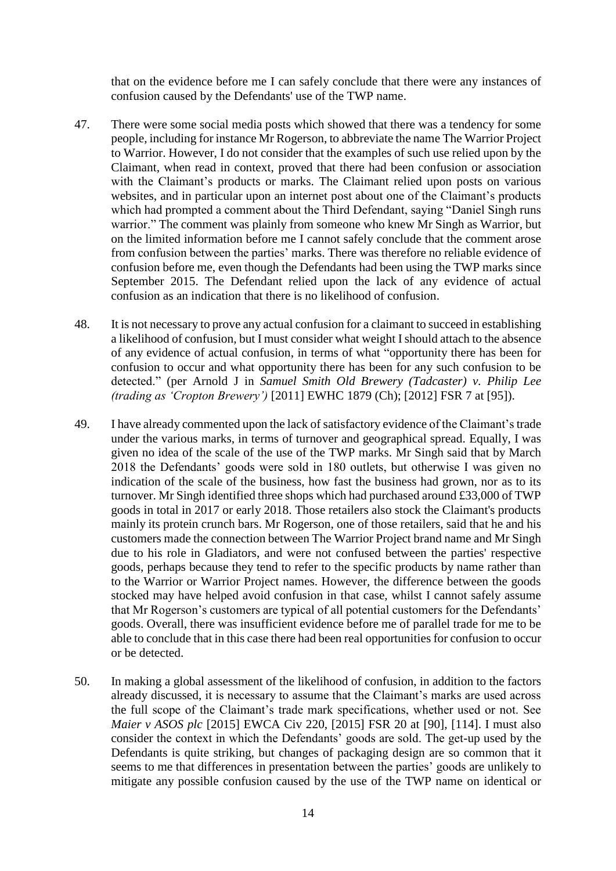that on the evidence before me I can safely conclude that there were any instances of confusion caused by the Defendants' use of the TWP name.

- 47. There were some social media posts which showed that there was a tendency for some people, including for instance Mr Rogerson, to abbreviate the name The Warrior Project to Warrior. However, I do not consider that the examples of such use relied upon by the Claimant, when read in context, proved that there had been confusion or association with the Claimant's products or marks. The Claimant relied upon posts on various websites, and in particular upon an internet post about one of the Claimant's products which had prompted a comment about the Third Defendant, saying "Daniel Singh runs warrior." The comment was plainly from someone who knew Mr Singh as Warrior, but on the limited information before me I cannot safely conclude that the comment arose from confusion between the parties' marks. There was therefore no reliable evidence of confusion before me, even though the Defendants had been using the TWP marks since September 2015. The Defendant relied upon the lack of any evidence of actual confusion as an indication that there is no likelihood of confusion.
- 48. It is not necessary to prove any actual confusion for a claimant to succeed in establishing a likelihood of confusion, but I must consider what weight I should attach to the absence of any evidence of actual confusion, in terms of what "opportunity there has been for confusion to occur and what opportunity there has been for any such confusion to be detected." (per Arnold J in *Samuel Smith Old Brewery (Tadcaster) v. Philip Lee (trading as 'Cropton Brewery')* [2011] EWHC 1879 (Ch); [2012] FSR 7 at [95]).
- 49. I have already commented upon the lack of satisfactory evidence of the Claimant's trade under the various marks, in terms of turnover and geographical spread. Equally, I was given no idea of the scale of the use of the TWP marks. Mr Singh said that by March 2018 the Defendants' goods were sold in 180 outlets, but otherwise I was given no indication of the scale of the business, how fast the business had grown, nor as to its turnover. Mr Singh identified three shops which had purchased around £33,000 of TWP goods in total in 2017 or early 2018. Those retailers also stock the Claimant's products mainly its protein crunch bars. Mr Rogerson, one of those retailers, said that he and his customers made the connection between The Warrior Project brand name and Mr Singh due to his role in Gladiators, and were not confused between the parties' respective goods, perhaps because they tend to refer to the specific products by name rather than to the Warrior or Warrior Project names. However, the difference between the goods stocked may have helped avoid confusion in that case, whilst I cannot safely assume that Mr Rogerson's customers are typical of all potential customers for the Defendants' goods. Overall, there was insufficient evidence before me of parallel trade for me to be able to conclude that in this case there had been real opportunities for confusion to occur or be detected.
- 50. In making a global assessment of the likelihood of confusion, in addition to the factors already discussed, it is necessary to assume that the Claimant's marks are used across the full scope of the Claimant's trade mark specifications, whether used or not. See *Maier v ASOS plc* [2015] EWCA Civ 220, [2015] FSR 20 at [90], [114]. I must also consider the context in which the Defendants' goods are sold. The get-up used by the Defendants is quite striking, but changes of packaging design are so common that it seems to me that differences in presentation between the parties' goods are unlikely to mitigate any possible confusion caused by the use of the TWP name on identical or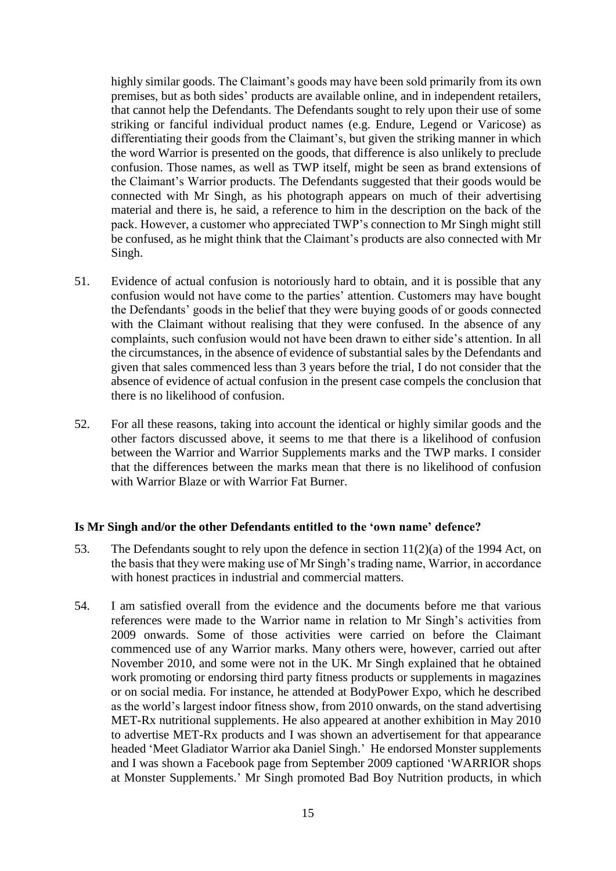highly similar goods. The Claimant's goods may have been sold primarily from its own premises, but as both sides' products are available online, and in independent retailers, that cannot help the Defendants. The Defendants sought to rely upon their use of some striking or fanciful individual product names (e.g. Endure, Legend or Varicose) as differentiating their goods from the Claimant's, but given the striking manner in which the word Warrior is presented on the goods, that difference is also unlikely to preclude confusion. Those names, as well as TWP itself, might be seen as brand extensions of the Claimant's Warrior products. The Defendants suggested that their goods would be connected with Mr Singh, as his photograph appears on much of their advertising material and there is, he said, a reference to him in the description on the back of the pack. However, a customer who appreciated TWP's connection to Mr Singh might still be confused, as he might think that the Claimant's products are also connected with Mr Singh.

- 51. Evidence of actual confusion is notoriously hard to obtain, and it is possible that any confusion would not have come to the parties' attention. Customers may have bought the Defendants' goods in the belief that they were buying goods of or goods connected with the Claimant without realising that they were confused. In the absence of any complaints, such confusion would not have been drawn to either side's attention. In all the circumstances, in the absence of evidence of substantial sales by the Defendants and given that sales commenced less than 3 years before the trial, I do not consider that the absence of evidence of actual confusion in the present case compels the conclusion that there is no likelihood of confusion.
- 52. For all these reasons, taking into account the identical or highly similar goods and the other factors discussed above, it seems to me that there is a likelihood of confusion between the Warrior and Warrior Supplements marks and the TWP marks. I consider that the differences between the marks mean that there is no likelihood of confusion with Warrior Blaze or with Warrior Fat Burner.

## **Is Mr Singh and/or the other Defendants entitled to the 'own name' defence?**

- 53. The Defendants sought to rely upon the defence in section 11(2)(a) of the 1994 Act, on the basis that they were making use of Mr Singh's trading name, Warrior, in accordance with honest practices in industrial and commercial matters.
- 54. I am satisfied overall from the evidence and the documents before me that various references were made to the Warrior name in relation to Mr Singh's activities from 2009 onwards. Some of those activities were carried on before the Claimant commenced use of any Warrior marks. Many others were, however, carried out after November 2010, and some were not in the UK. Mr Singh explained that he obtained work promoting or endorsing third party fitness products or supplements in magazines or on social media. For instance, he attended at BodyPower Expo, which he described as the world's largest indoor fitness show, from 2010 onwards, on the stand advertising MET-Rx nutritional supplements. He also appeared at another exhibition in May 2010 to advertise MET-Rx products and I was shown an advertisement for that appearance headed 'Meet Gladiator Warrior aka Daniel Singh.' He endorsed Monster supplements and I was shown a Facebook page from September 2009 captioned 'WARRIOR shops at Monster Supplements.' Mr Singh promoted Bad Boy Nutrition products, in which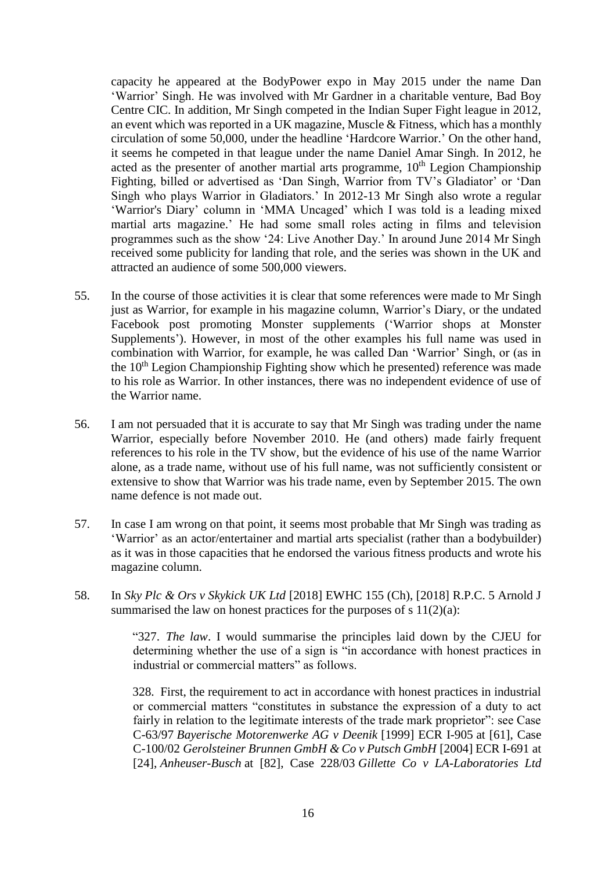capacity he appeared at the BodyPower expo in May 2015 under the name Dan 'Warrior' Singh. He was involved with Mr Gardner in a charitable venture, Bad Boy Centre CIC. In addition, Mr Singh competed in the Indian Super Fight league in 2012, an event which was reported in a UK magazine, Muscle & Fitness, which has a monthly circulation of some 50,000, under the headline 'Hardcore Warrior.' On the other hand, it seems he competed in that league under the name Daniel Amar Singh. In 2012, he acted as the presenter of another martial arts programme,  $10<sup>th</sup>$  Legion Championship Fighting, billed or advertised as 'Dan Singh, Warrior from TV's Gladiator' or 'Dan Singh who plays Warrior in Gladiators.' In 2012-13 Mr Singh also wrote a regular 'Warrior's Diary' column in 'MMA Uncaged' which I was told is a leading mixed martial arts magazine.' He had some small roles acting in films and television programmes such as the show '24: Live Another Day.' In around June 2014 Mr Singh received some publicity for landing that role, and the series was shown in the UK and attracted an audience of some 500,000 viewers.

- 55. In the course of those activities it is clear that some references were made to Mr Singh just as Warrior, for example in his magazine column, Warrior's Diary, or the undated Facebook post promoting Monster supplements ('Warrior shops at Monster Supplements'). However, in most of the other examples his full name was used in combination with Warrior, for example, he was called Dan 'Warrior' Singh, or (as in the 10<sup>th</sup> Legion Championship Fighting show which he presented) reference was made to his role as Warrior. In other instances, there was no independent evidence of use of the Warrior name.
- 56. I am not persuaded that it is accurate to say that Mr Singh was trading under the name Warrior, especially before November 2010. He (and others) made fairly frequent references to his role in the TV show, but the evidence of his use of the name Warrior alone, as a trade name, without use of his full name, was not sufficiently consistent or extensive to show that Warrior was his trade name, even by September 2015. The own name defence is not made out.
- 57. In case I am wrong on that point, it seems most probable that Mr Singh was trading as 'Warrior' as an actor/entertainer and martial arts specialist (rather than a bodybuilder) as it was in those capacities that he endorsed the various fitness products and wrote his magazine column.
- 58. In *Sky Plc & Ors v Skykick UK Ltd* [2018] EWHC 155 (Ch), [2018] R.P.C. 5 Arnold J summarised the law on honest practices for the purposes of s  $11(2)(a)$ :

"327. *The law*. I would summarise the principles laid down by the CJEU for determining whether the use of a sign is "in accordance with honest practices in industrial or commercial matters" as follows.

328. First, the requirement to act in accordance with honest practices in industrial or commercial matters "constitutes in substance the expression of a duty to act fairly in relation to the legitimate interests of the trade mark proprietor": see Case C-63/97 *Bayerische Motorenwerke AG v Deenik* [1999] ECR I-905 at [61], Case C-100/02 *Gerolsteiner Brunnen GmbH & Co v Putsch GmbH* [2004] ECR I-691 at [24], *Anheuser-Busch* at [82], Case 228/03 *Gillette Co v LA-Laboratories Ltd*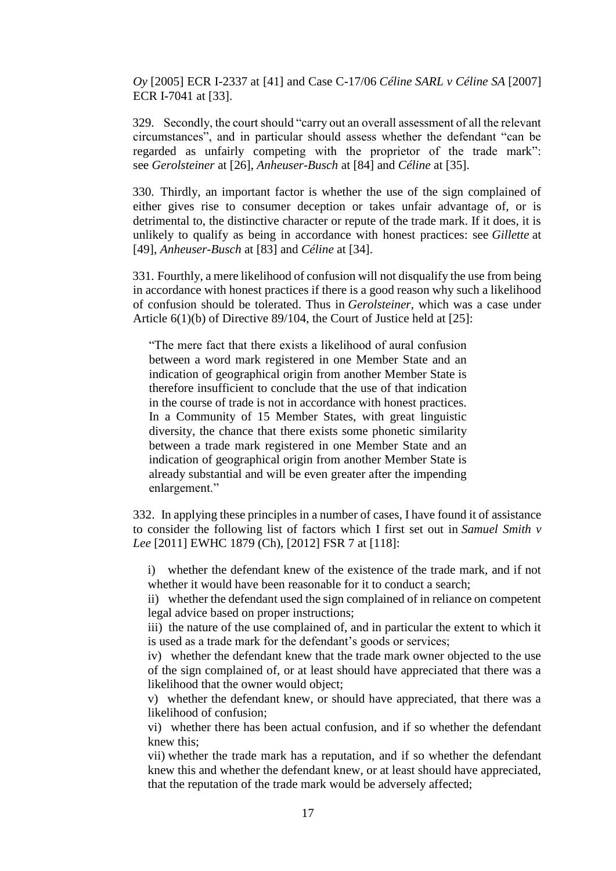*Oy* [2005] ECR I-2337 at [41] and Case C-17/06 *Céline SARL v Céline SA* [2007] ECR I-7041 at [33].

329. Secondly, the court should "carry out an overall assessment of all the relevant circumstances", and in particular should assess whether the defendant "can be regarded as unfairly competing with the proprietor of the trade mark": see *Gerolsteiner* at [26], *Anheuser-Busch* at [84] and *Céline* at [35].

330. Thirdly, an important factor is whether the use of the sign complained of either gives rise to consumer deception or takes unfair advantage of, or is detrimental to, the distinctive character or repute of the trade mark. If it does, it is unlikely to qualify as being in accordance with honest practices: see *Gillette* at [49], *Anheuser-Busch* at [83] and *Céline* at [34].

331. Fourthly, a mere likelihood of confusion will not disqualify the use from being in accordance with honest practices if there is a good reason why such a likelihood of confusion should be tolerated. Thus in *Gerolsteiner*, which was a case under Article 6(1)(b) of Directive 89/104, the Court of Justice held at [25]:

"The mere fact that there exists a likelihood of aural confusion between a word mark registered in one Member State and an indication of geographical origin from another Member State is therefore insufficient to conclude that the use of that indication in the course of trade is not in accordance with honest practices. In a Community of 15 Member States, with great linguistic diversity, the chance that there exists some phonetic similarity between a trade mark registered in one Member State and an indication of geographical origin from another Member State is already substantial and will be even greater after the impending enlargement."

332. In applying these principles in a number of cases, I have found it of assistance to consider the following list of factors which I first set out in *Samuel Smith v Lee* [2011] EWHC 1879 (Ch), [2012] FSR 7 at [118]:

i) whether the defendant knew of the existence of the trade mark, and if not whether it would have been reasonable for it to conduct a search;

ii) whether the defendant used the sign complained of in reliance on competent legal advice based on proper instructions;

iii) the nature of the use complained of, and in particular the extent to which it is used as a trade mark for the defendant's goods or services;

iv) whether the defendant knew that the trade mark owner objected to the use of the sign complained of, or at least should have appreciated that there was a likelihood that the owner would object;

v) whether the defendant knew, or should have appreciated, that there was a likelihood of confusion;

vi) whether there has been actual confusion, and if so whether the defendant knew this;

vii) whether the trade mark has a reputation, and if so whether the defendant knew this and whether the defendant knew, or at least should have appreciated, that the reputation of the trade mark would be adversely affected;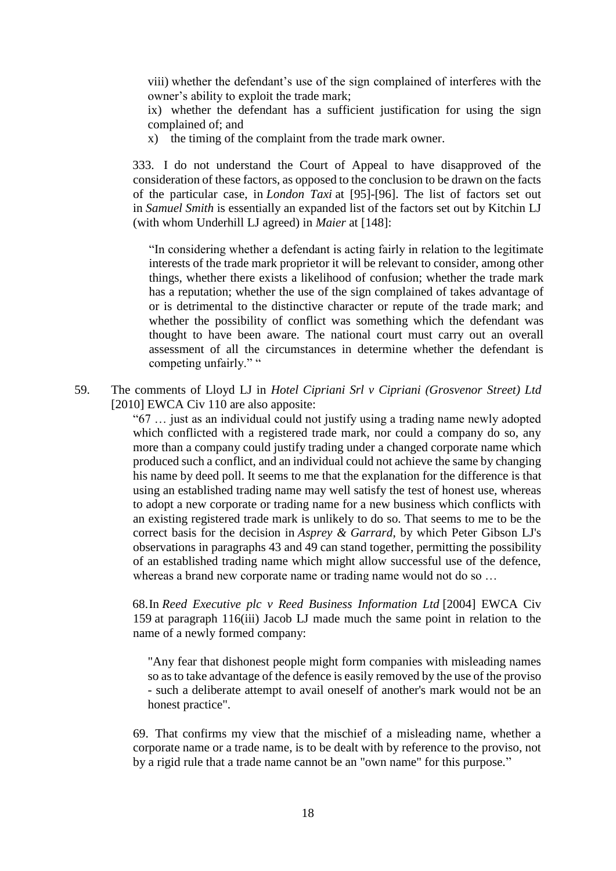viii) whether the defendant's use of the sign complained of interferes with the owner's ability to exploit the trade mark;

ix) whether the defendant has a sufficient justification for using the sign complained of; and

x) the timing of the complaint from the trade mark owner.

333. I do not understand the Court of Appeal to have disapproved of the consideration of these factors, as opposed to the conclusion to be drawn on the facts of the particular case, in *London Taxi* at [95]-[96]. The list of factors set out in *Samuel Smith* is essentially an expanded list of the factors set out by Kitchin LJ (with whom Underhill LJ agreed) in *Maier* at [148]:

"In considering whether a defendant is acting fairly in relation to the legitimate interests of the trade mark proprietor it will be relevant to consider, among other things, whether there exists a likelihood of confusion; whether the trade mark has a reputation; whether the use of the sign complained of takes advantage of or is detrimental to the distinctive character or repute of the trade mark; and whether the possibility of conflict was something which the defendant was thought to have been aware. The national court must carry out an overall assessment of all the circumstances in determine whether the defendant is competing unfairly." "

59. The comments of Lloyd LJ in *Hotel Cipriani Srl v Cipriani (Grosvenor Street) Ltd* [2010] EWCA Civ 110 are also apposite:

> "67 … just as an individual could not justify using a trading name newly adopted which conflicted with a registered trade mark, nor could a company do so, any more than a company could justify trading under a changed corporate name which produced such a conflict, and an individual could not achieve the same by changing his name by deed poll. It seems to me that the explanation for the difference is that using an established trading name may well satisfy the test of honest use, whereas to adopt a new corporate or trading name for a new business which conflicts with an existing registered trade mark is unlikely to do so. That seems to me to be the correct basis for the decision in *Asprey & Garrard*, by which Peter Gibson LJ's observations in paragraphs 43 and 49 can stand together, permitting the possibility of an established trading name which might allow successful use of the defence, whereas a brand new corporate name or trading name would not do so …

> 68.In *Reed Executive plc v Reed Business Information Ltd* [2004] EWCA Civ 159 at paragraph 116(iii) Jacob LJ made much the same point in relation to the name of a newly formed company:

"Any fear that dishonest people might form companies with misleading names so as to take advantage of the defence is easily removed by the use of the proviso - such a deliberate attempt to avail oneself of another's mark would not be an honest practice".

69. That confirms my view that the mischief of a misleading name, whether a corporate name or a trade name, is to be dealt with by reference to the proviso, not by a rigid rule that a trade name cannot be an "own name" for this purpose."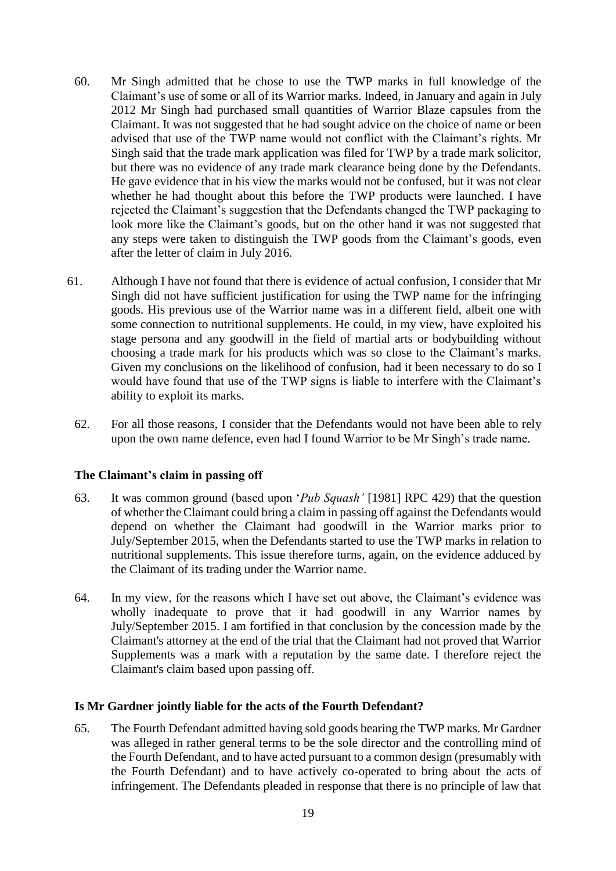- 60. Mr Singh admitted that he chose to use the TWP marks in full knowledge of the Claimant's use of some or all of its Warrior marks. Indeed, in January and again in July 2012 Mr Singh had purchased small quantities of Warrior Blaze capsules from the Claimant. It was not suggested that he had sought advice on the choice of name or been advised that use of the TWP name would not conflict with the Claimant's rights. Mr Singh said that the trade mark application was filed for TWP by a trade mark solicitor, but there was no evidence of any trade mark clearance being done by the Defendants. He gave evidence that in his view the marks would not be confused, but it was not clear whether he had thought about this before the TWP products were launched. I have rejected the Claimant's suggestion that the Defendants changed the TWP packaging to look more like the Claimant's goods, but on the other hand it was not suggested that any steps were taken to distinguish the TWP goods from the Claimant's goods, even after the letter of claim in July 2016.
- 61. Although I have not found that there is evidence of actual confusion, I consider that Mr Singh did not have sufficient justification for using the TWP name for the infringing goods. His previous use of the Warrior name was in a different field, albeit one with some connection to nutritional supplements. He could, in my view, have exploited his stage persona and any goodwill in the field of martial arts or bodybuilding without choosing a trade mark for his products which was so close to the Claimant's marks. Given my conclusions on the likelihood of confusion, had it been necessary to do so I would have found that use of the TWP signs is liable to interfere with the Claimant's ability to exploit its marks.
	- 62. For all those reasons, I consider that the Defendants would not have been able to rely upon the own name defence, even had I found Warrior to be Mr Singh's trade name.

## **The Claimant's claim in passing off**

- 63. It was common ground (based upon '*Pub Squash'* [1981] RPC 429) that the question of whether the Claimant could bring a claim in passing off against the Defendants would depend on whether the Claimant had goodwill in the Warrior marks prior to July/September 2015, when the Defendants started to use the TWP marks in relation to nutritional supplements. This issue therefore turns, again, on the evidence adduced by the Claimant of its trading under the Warrior name.
- 64. In my view, for the reasons which I have set out above, the Claimant's evidence was wholly inadequate to prove that it had goodwill in any Warrior names by July/September 2015. I am fortified in that conclusion by the concession made by the Claimant's attorney at the end of the trial that the Claimant had not proved that Warrior Supplements was a mark with a reputation by the same date. I therefore reject the Claimant's claim based upon passing off.

#### **Is Mr Gardner jointly liable for the acts of the Fourth Defendant?**

65. The Fourth Defendant admitted having sold goods bearing the TWP marks. Mr Gardner was alleged in rather general terms to be the sole director and the controlling mind of the Fourth Defendant, and to have acted pursuant to a common design (presumably with the Fourth Defendant) and to have actively co-operated to bring about the acts of infringement. The Defendants pleaded in response that there is no principle of law that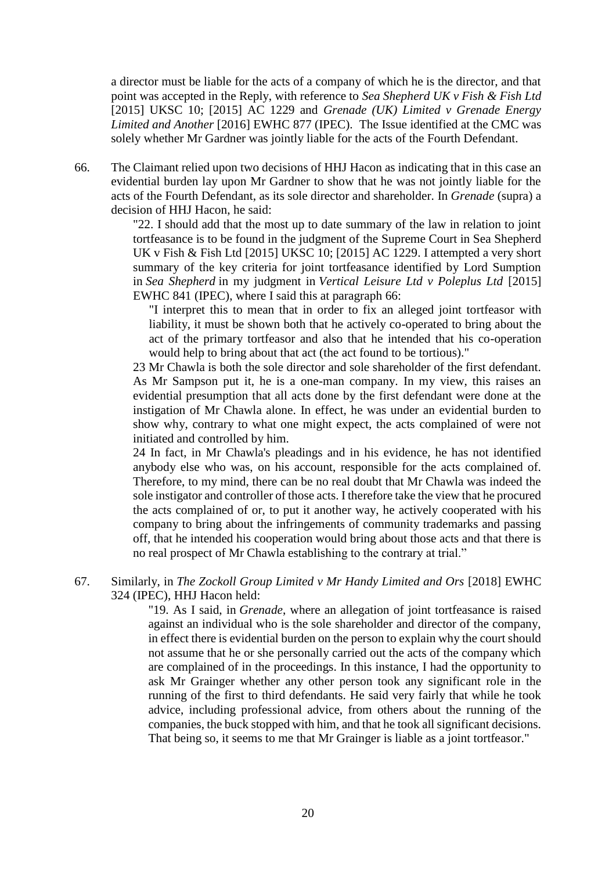a director must be liable for the acts of a company of which he is the director, and that point was accepted in the Reply, with reference to *Sea Shepherd UK v Fish & Fish Ltd*  [2015] UKSC 10; [2015] AC 1229 and *Grenade (UK) Limited v Grenade Energy Limited and Another* [2016] EWHC 877 (IPEC). The Issue identified at the CMC was solely whether Mr Gardner was jointly liable for the acts of the Fourth Defendant.

66. The Claimant relied upon two decisions of HHJ Hacon as indicating that in this case an evidential burden lay upon Mr Gardner to show that he was not jointly liable for the acts of the Fourth Defendant, as its sole director and shareholder. In *Grenade* (supra) a decision of HHJ Hacon, he said:

> "22. I should add that the most up to date summary of the law in relation to joint tortfeasance is to be found in the judgment of the Supreme Court in [Sea Shepherd](https://login.westlaw.co.uk/maf/wluk/app/document?src=doc&linktype=ref&context=25&crumb-action=replace&docguid=ID3F366D0C29411E493ECA464000DD684)  [UK v Fish & Fish Ltd \[2015\] UKSC 10; \[2015\] AC 1229.](https://login.westlaw.co.uk/maf/wluk/app/document?src=doc&linktype=ref&context=25&crumb-action=replace&docguid=ID3F366D0C29411E493ECA464000DD684) I attempted a very short summary of the key criteria for joint tortfeasance identified by Lord Sumption in *[Sea Shepherd](https://login.westlaw.co.uk/maf/wluk/app/document?src=doc&linktype=ref&context=25&crumb-action=replace&docguid=ID3F366D0C29411E493ECA464000DD684)* in my judgment in *[Vertical Leisure Ltd v Poleplus Ltd](https://login.westlaw.co.uk/maf/wluk/app/document?src=doc&linktype=ref&context=25&crumb-action=replace&docguid=IFA593AB0D6F911E4A766A63C383408F0)* [2015] [EWHC 841 \(IPEC\),](https://login.westlaw.co.uk/maf/wluk/app/document?src=doc&linktype=ref&context=25&crumb-action=replace&docguid=IFA593AB0D6F911E4A766A63C383408F0) where I said this at paragraph 66:

"I interpret this to mean that in order to fix an alleged joint tortfeasor with liability, it must be shown both that he actively co-operated to bring about the act of the primary tortfeasor and also that he intended that his co-operation would help to bring about that act (the act found to be tortious)."

23 Mr Chawla is both the sole director and sole shareholder of the first defendant. As Mr Sampson put it, he is a one-man company. In my view, this raises an evidential presumption that all acts done by the first defendant were done at the instigation of Mr Chawla alone. In effect, he was under an evidential burden to show why, contrary to what one might expect, the acts complained of were not initiated and controlled by him.

24 In fact, in Mr Chawla's pleadings and in his evidence, he has not identified anybody else who was, on his account, responsible for the acts complained of. Therefore, to my mind, there can be no real doubt that Mr Chawla was indeed the sole instigator and controller of those acts. I therefore take the view that he procured the acts complained of or, to put it another way, he actively cooperated with his company to bring about the infringements of community trademarks and passing off, that he intended his cooperation would bring about those acts and that there is no real prospect of Mr Chawla establishing to the contrary at trial."

# 67. Similarly, in *The Zockoll Group Limited v Mr Handy Limited and Ors* [2018] EWHC 324 (IPEC), HHJ Hacon held:

"19. As I said, in *[Grenade](https://login.westlaw.co.uk/maf/wluk/app/document?src=doc&linktype=ref&context=25&crumb-action=replace&docguid=IA2AC0330E79A11E5B6269571A24150A0)*, where an allegation of joint tortfeasance is raised against an individual who is the sole shareholder and director of the company, in effect there is evidential burden on the person to explain why the court should not assume that he or she personally carried out the acts of the company which are complained of in the proceedings. In this instance, I had the opportunity to ask Mr Grainger whether any other person took any significant role in the running of the first to third defendants. He said very fairly that while he took advice, including professional advice, from others about the running of the companies, the buck stopped with him, and that he took all significant decisions. That being so, it seems to me that Mr Grainger is liable as a joint tortfeasor."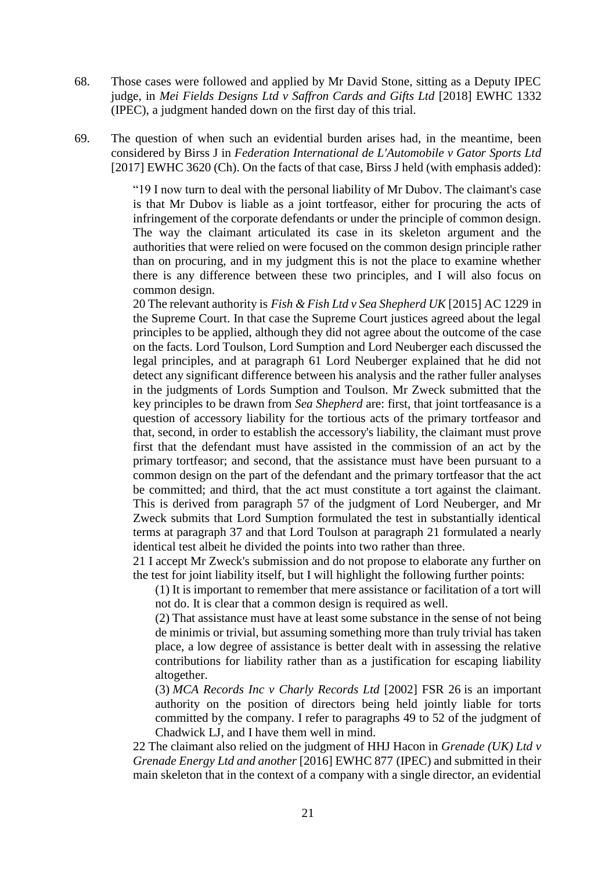- 68. Those cases were followed and applied by Mr David Stone, sitting as a Deputy IPEC judge, in *Mei Fields Designs Ltd v Saffron Cards and Gifts Ltd* [2018] [EWHC 1332](https://login.westlaw.co.uk/maf/wluk/app/document?src=doc&linktype=ref&context=12&crumb-action=replace&docguid=I3F5BB190698911E8AE3F83F2566B4478)  [\(IPEC\),](https://login.westlaw.co.uk/maf/wluk/app/document?src=doc&linktype=ref&context=12&crumb-action=replace&docguid=I3F5BB190698911E8AE3F83F2566B4478) a judgment handed down on the first day of this trial.
- 69. The question of when such an evidential burden arises had, in the meantime, been considered by Birss J in *Federation International de L'Automobile v Gator Sports Ltd*  [2017] EWHC 3620 (Ch). On the facts of that case, Birss J held (with emphasis added):

"19 I now turn to deal with the personal liability of Mr Dubov. The claimant's case is that Mr Dubov is liable as a joint tortfeasor, either for procuring the acts of infringement of the corporate defendants or under the principle of common design. The way the claimant articulated its case in its skeleton argument and the authorities that were relied on were focused on the common design principle rather than on procuring, and in my judgment this is not the place to examine whether there is any difference between these two principles, and I will also focus on common design.

20 The relevant authority is *Fish & Fish Ltd v Sea Shepherd UK* [2015] AC 1229 in the Supreme Court. In that case the Supreme Court justices agreed about the legal principles to be applied, although they did not agree about the outcome of the case on the facts. Lord Toulson, Lord Sumption and Lord Neuberger each discussed the legal principles, and at paragraph 61 Lord Neuberger explained that he did not detect any significant difference between his analysis and the rather fuller analyses in the judgments of Lords Sumption and Toulson. Mr Zweck submitted that the key principles to be drawn from *[Sea Shepherd](https://login.westlaw.co.uk/maf/wluk/app/document?src=doc&linktype=ref&context=17&crumb-action=replace&docguid=ID3F366D0C29411E493ECA464000DD684)* are: first, that joint tortfeasance is a question of accessory liability for the tortious acts of the primary tortfeasor and that, second, in order to establish the accessory's liability, the claimant must prove first that the defendant must have assisted in the commission of an act by the primary tortfeasor; and second, that the assistance must have been pursuant to a common design on the part of the defendant and the primary tortfeasor that the act be committed; and third, that the act must constitute a tort against the claimant. This is derived from paragraph 57 of the judgment of Lord Neuberger, and Mr Zweck submits that Lord Sumption formulated the test in substantially identical terms at paragraph 37 and that Lord Toulson at paragraph 21 formulated a nearly identical test albeit he divided the points into two rather than three.

21 I accept Mr Zweck's submission and do not propose to elaborate any further on the test for joint liability itself, but I will highlight the following further points:

(1) It is important to remember that mere assistance or facilitation of a tort will not do. It is clear that a common design is required as well.

(2) That assistance must have at least some substance in the sense of not being de minimis or trivial, but assuming something more than truly trivial has taken place, a low degree of assistance is better dealt with in assessing the relative contributions for liability rather than as a justification for escaping liability altogether.

(3) *MCA Records Inc v Charly Records Ltd* [2002] FSR 26 is an important authority on the position of directors being held jointly liable for torts committed by the company. I refer to paragraphs 49 to 52 of the judgment of Chadwick LJ, and I have them well in mind.

22 The claimant also relied on the judgment of HHJ Hacon in *Grenade (UK) Ltd v Grenade Energy Ltd and another* [2016] EWHC 877 (IPEC) and submitted in their main skeleton that in the context of a company with a single director, an evidential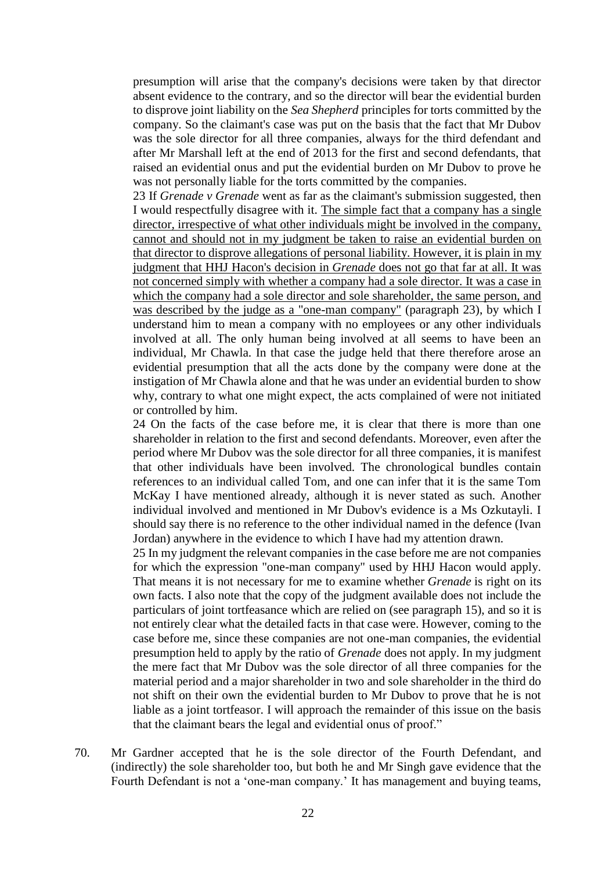presumption will arise that the company's decisions were taken by that director absent evidence to the contrary, and so the director will bear the evidential burden to disprove joint liability on the *Sea Shepherd* principles for torts committed by the company. So the claimant's case was put on the basis that the fact that Mr Dubov was the sole director for all three companies, always for the third defendant and after Mr Marshall left at the end of 2013 for the first and second defendants, that raised an evidential onus and put the evidential burden on Mr Dubov to prove he was not personally liable for the torts committed by the companies.

23 If *Grenade v Grenade* went as far as the claimant's submission suggested, then I would respectfully disagree with it. The simple fact that a company has a single director, irrespective of what other individuals might be involved in the company, cannot and should not in my judgment be taken to raise an evidential burden on that director to disprove allegations of personal liability. However, it is plain in my judgment that HHJ Hacon's decision in *Grenade* does not go that far at all. It was not concerned simply with whether a company had a sole director. It was a case in which the company had a sole director and sole shareholder, the same person, and was described by the judge as a "one-man company" (paragraph 23), by which I understand him to mean a company with no employees or any other individuals involved at all. The only human being involved at all seems to have been an individual, Mr Chawla. In that case the judge held that there therefore arose an evidential presumption that all the acts done by the company were done at the instigation of Mr Chawla alone and that he was under an evidential burden to show why, contrary to what one might expect, the acts complained of were not initiated or controlled by him.

24 On the facts of the case before me, it is clear that there is more than one shareholder in relation to the first and second defendants. Moreover, even after the period where Mr Dubov was the sole director for all three companies, it is manifest that other individuals have been involved. The chronological bundles contain references to an individual called Tom, and one can infer that it is the same Tom McKay I have mentioned already, although it is never stated as such. Another individual involved and mentioned in Mr Dubov's evidence is a Ms Ozkutayli. I should say there is no reference to the other individual named in the defence (Ivan Jordan) anywhere in the evidence to which I have had my attention drawn.

25 In my judgment the relevant companies in the case before me are not companies for which the expression "one-man company" used by HHJ Hacon would apply. That means it is not necessary for me to examine whether *Grenade* is right on its own facts. I also note that the copy of the judgment available does not include the particulars of joint tortfeasance which are relied on (see paragraph 15), and so it is not entirely clear what the detailed facts in that case were. However, coming to the case before me, since these companies are not one-man companies, the evidential presumption held to apply by the ratio of *Grenade* does not apply. In my judgment the mere fact that Mr Dubov was the sole director of all three companies for the material period and a major shareholder in two and sole shareholder in the third do not shift on their own the evidential burden to Mr Dubov to prove that he is not liable as a joint tortfeasor. I will approach the remainder of this issue on the basis that the claimant bears the legal and evidential onus of proof."

70. Mr Gardner accepted that he is the sole director of the Fourth Defendant, and (indirectly) the sole shareholder too, but both he and Mr Singh gave evidence that the Fourth Defendant is not a 'one-man company.' It has management and buying teams,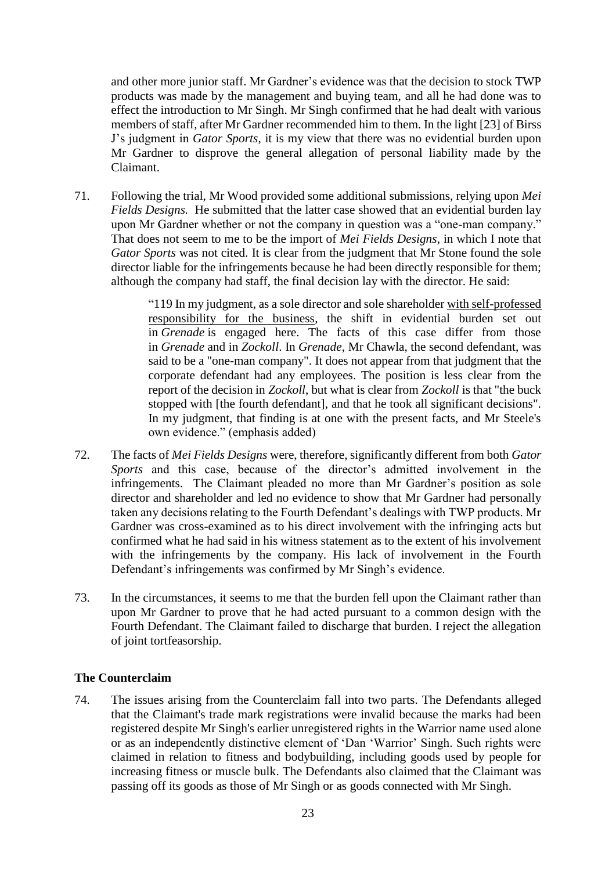and other more junior staff. Mr Gardner's evidence was that the decision to stock TWP products was made by the management and buying team, and all he had done was to effect the introduction to Mr Singh. Mr Singh confirmed that he had dealt with various members of staff, after Mr Gardner recommended him to them. In the light [23] of Birss J's judgment in *Gator Sports*, it is my view that there was no evidential burden upon Mr Gardner to disprove the general allegation of personal liability made by the Claimant.

71. Following the trial, Mr Wood provided some additional submissions, relying upon *Mei Fields Designs.* He submitted that the latter case showed that an evidential burden lay upon Mr Gardner whether or not the company in question was a "one-man company." That does not seem to me to be the import of *Mei Fields Designs,* in which I note that *Gator Sports* was not cited*.* It is clear from the judgment that Mr Stone found the sole director liable for the infringements because he had been directly responsible for them; although the company had staff, the final decision lay with the director. He said:

> "119 In my judgment, as a sole director and sole shareholder with self-professed responsibility for the business, the shift in evidential burden set out in *Grenade* is engaged here. The facts of this case differ from those in *Grenade* and in *Zockoll*. In *Grenade*, Mr Chawla, the second defendant, was said to be a "one-man company". It does not appear from that judgment that the corporate defendant had any employees. The position is less clear from the report of the decision in *Zockoll*, but what is clear from *Zockoll* is that "the buck stopped with [the fourth defendant], and that he took all significant decisions". In my judgment, that finding is at one with the present facts, and Mr Steele's own evidence." (emphasis added)

- 72. The facts of *Mei Fields Designs* were, therefore, significantly different from both *Gator Sports* and this case, because of the director's admitted involvement in the infringements. The Claimant pleaded no more than Mr Gardner's position as sole director and shareholder and led no evidence to show that Mr Gardner had personally taken any decisions relating to the Fourth Defendant's dealings with TWP products. Mr Gardner was cross-examined as to his direct involvement with the infringing acts but confirmed what he had said in his witness statement as to the extent of his involvement with the infringements by the company. His lack of involvement in the Fourth Defendant's infringements was confirmed by Mr Singh's evidence.
- 73. In the circumstances, it seems to me that the burden fell upon the Claimant rather than upon Mr Gardner to prove that he had acted pursuant to a common design with the Fourth Defendant. The Claimant failed to discharge that burden. I reject the allegation of joint tortfeasorship.

# **The Counterclaim**

74. The issues arising from the Counterclaim fall into two parts. The Defendants alleged that the Claimant's trade mark registrations were invalid because the marks had been registered despite Mr Singh's earlier unregistered rights in the Warrior name used alone or as an independently distinctive element of 'Dan 'Warrior' Singh. Such rights were claimed in relation to fitness and bodybuilding, including goods used by people for increasing fitness or muscle bulk. The Defendants also claimed that the Claimant was passing off its goods as those of Mr Singh or as goods connected with Mr Singh.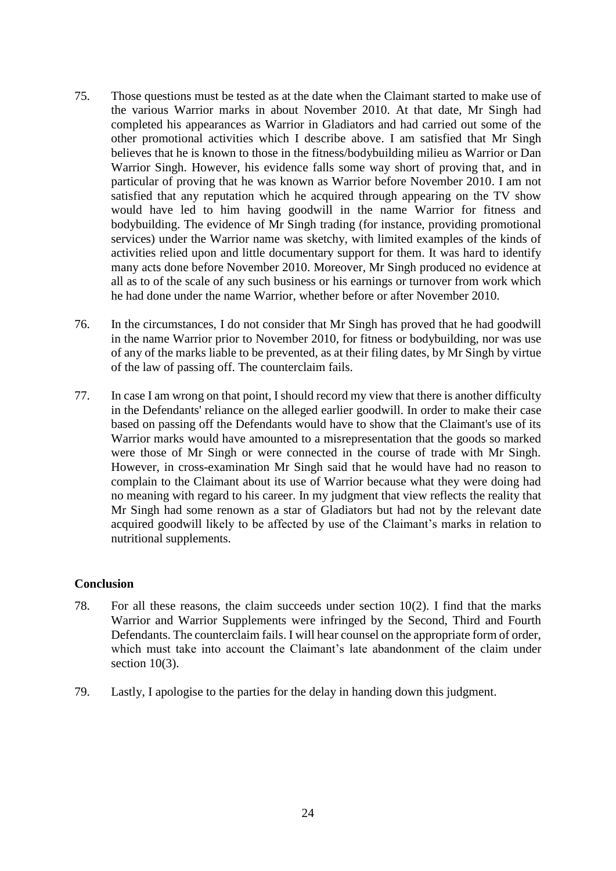- 75. Those questions must be tested as at the date when the Claimant started to make use of the various Warrior marks in about November 2010. At that date, Mr Singh had completed his appearances as Warrior in Gladiators and had carried out some of the other promotional activities which I describe above. I am satisfied that Mr Singh believes that he is known to those in the fitness/bodybuilding milieu as Warrior or Dan Warrior Singh. However, his evidence falls some way short of proving that, and in particular of proving that he was known as Warrior before November 2010. I am not satisfied that any reputation which he acquired through appearing on the TV show would have led to him having goodwill in the name Warrior for fitness and bodybuilding. The evidence of Mr Singh trading (for instance, providing promotional services) under the Warrior name was sketchy, with limited examples of the kinds of activities relied upon and little documentary support for them. It was hard to identify many acts done before November 2010. Moreover, Mr Singh produced no evidence at all as to of the scale of any such business or his earnings or turnover from work which he had done under the name Warrior, whether before or after November 2010.
- 76. In the circumstances, I do not consider that Mr Singh has proved that he had goodwill in the name Warrior prior to November 2010, for fitness or bodybuilding, nor was use of any of the marks liable to be prevented, as at their filing dates, by Mr Singh by virtue of the law of passing off. The counterclaim fails.
- 77. In case I am wrong on that point, I should record my view that there is another difficulty in the Defendants' reliance on the alleged earlier goodwill. In order to make their case based on passing off the Defendants would have to show that the Claimant's use of its Warrior marks would have amounted to a misrepresentation that the goods so marked were those of Mr Singh or were connected in the course of trade with Mr Singh. However, in cross-examination Mr Singh said that he would have had no reason to complain to the Claimant about its use of Warrior because what they were doing had no meaning with regard to his career. In my judgment that view reflects the reality that Mr Singh had some renown as a star of Gladiators but had not by the relevant date acquired goodwill likely to be affected by use of the Claimant's marks in relation to nutritional supplements.

## **Conclusion**

- 78. For all these reasons, the claim succeeds under section 10(2). I find that the marks Warrior and Warrior Supplements were infringed by the Second, Third and Fourth Defendants. The counterclaim fails. I will hear counsel on the appropriate form of order, which must take into account the Claimant's late abandonment of the claim under section 10(3).
- 79. Lastly, I apologise to the parties for the delay in handing down this judgment.